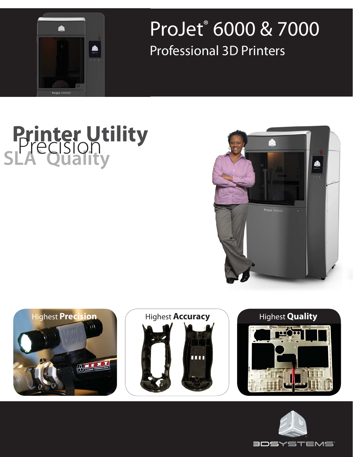

## ProJet® 6000 & 7000 Professional 3D Printers

# **Printer Utility SLA® Quality** Precision





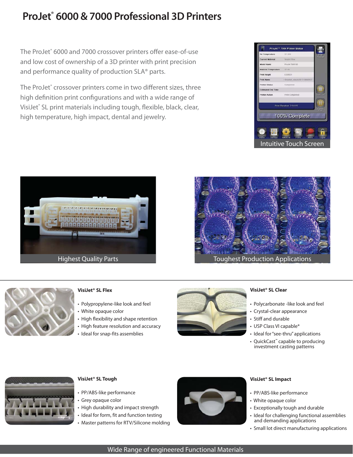### **ProJet® 6000 & 7000 Professional 3D Printers**

The ProJet® 6000 and 7000 crossover printers offer ease-of-use and low cost of ownership of a 3D printer with print precision and performance quality of production SLA® parts.

The ProJet® crossover printers come in two different sizes, three high definition print configurations and with a wide range of VisiJet® SL print materials including tough, flexible, black, clear, high temperature, high impact, dental and jewelry.









### **VisiJet® SL Flex**

- Polypropylene-like look and feel
- White opaque color
- High flexibility and shape retention
- High feature resolution and accuracy
- Ideal for snap-fits assemblies



#### **VisiJet® SL Clear**

- Polycarbonate -like look and feel
- Crystal-clear appearance
- Stiff and durable
- USP Class VI capable\*
- Ideal for "see-thru" applications
- QuickCast™ capable to producing investment casting patterns



### **VisiJet® SL Tough**

- PP/ABS-like performance
- Grey opaque color
- High durability and impact strength
- Ideal for form, fit and function testing
- Master patterns for RTV/Silicone molding



### **VisiJet® SL Impact**

- PP/ABS-like performance
- White opaque color
- Exceptionally tough and durable
- Ideal for challenging functional assemblies and demanding applications
- Small lot direct manufacturing applications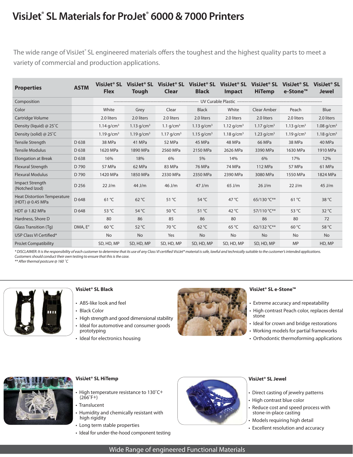### **VisiJet® SL Materials for ProJet® 6000 & 7000 Printers**

The wide range of VisiJet° SL engineered materials offers the toughest and the highest quality parts to meet a variety of commercial and production applications.

| <b>Properties</b>                                      | <b>ASTM</b>      | VisiJet® SL<br><b>Flex</b> | VisiJet <sup>®</sup> SL<br><b>Tough</b> | VisiJet <sup>®</sup> SL<br>Clear | VisiJet <sup>®</sup> SL<br><b>Black</b> | VisiJet <sup>®</sup> SL<br>Impact | VisiJet <sup>®</sup> SL<br><b>HiTemp</b> | VisiJet <sup>®</sup> SL<br>e-Stone™ | VisiJet <sup>®</sup> SL<br><b>Jewel</b> |  |  |
|--------------------------------------------------------|------------------|----------------------------|-----------------------------------------|----------------------------------|-----------------------------------------|-----------------------------------|------------------------------------------|-------------------------------------|-----------------------------------------|--|--|
| Composition                                            |                  |                            |                                         |                                  |                                         |                                   |                                          |                                     |                                         |  |  |
| Color                                                  |                  | White                      | Grey                                    | Clear                            | <b>Black</b>                            | White                             | Clear Amber                              | Peach                               | Blue                                    |  |  |
| Cartridge Volume                                       |                  | 2.0 liters                 | 2.0 liters                              | 2.0 liters                       | 2.0 liters                              | 2.0 liters                        | 2.0 liters                               | 2.0 liters                          | 2.0 liters                              |  |  |
| Density (liquid) $@25^{\circ}$ C                       |                  | 1.14 $q/cm^3$              | 1.13 $q/cm^3$                           | 1.1 $q/cm^3$                     | 1.13 $q/cm^3$                           | 1.12 $q/cm^3$                     | 1.17 $q/cm^3$                            | 1.13 $q/cm^3$                       | 1.08 $q/cm^3$                           |  |  |
| Density (solid) @ $25^{\circ}$ C                       |                  | 1.19 $q/cm^3$              | 1.19 $q/cm^3$                           | 1.17 $q/cm^3$                    | 1.15 $q/cm^3$                           | 1.18 $q/cm^3$                     | 1.23 $q/cm^3$                            | 1.19 $q/cm^3$                       | 1.18 $q/cm^3$                           |  |  |
| <b>Tensile Strength</b>                                | D <sub>638</sub> | 38 MPa                     | 41 MPa                                  | 52 MPa                           | 45 MPa                                  | 48 MPa                            | 66 MPa                                   | 38 MPa                              | 40 MPa                                  |  |  |
| <b>Tensile Modulus</b>                                 | D 638            | 1620 MPa                   | 1890 MPa                                | 2560 MPa                         | 2150 MPa                                | 2626 MPa                          | 3390 MPa                                 | 1630 MPa                            | 1910 MPa                                |  |  |
| <b>Elongation at Break</b>                             | D 638            | 16%                        | 18%                                     | 6%                               | 5%                                      | 14%                               | 6%                                       | 17%                                 | 12%                                     |  |  |
| <b>Flexural Strength</b>                               | D 790            | 57 MPa                     | 62 MPa                                  | 83 MPa                           | 76 MPa                                  | 74 MPa                            | 112 MPa                                  | 57 MPa                              | 61 MPa                                  |  |  |
| <b>Flexural Modulus</b>                                | D 790            | 1420 MPa                   | 1850 MPa                                | 2330 MPa                         | 2350 MPa                                | 2390 MPa                          | 3080 MPa                                 | 1550 MPa                            | 1824 MPa                                |  |  |
| <b>Impact Strength</b><br>(Notched Izod)               | D 256            | $22$ J/m                   | 44 J/m                                  | 46 J/m                           | $47$ J/m                                | $65$ J/m                          | $26$ J/m                                 | $22$ J/m                            | $45$ J/m                                |  |  |
| <b>Heat Distortion Temperature</b><br>(HDT) @ 0.45 MPa | D 648            | $61^{\circ}$ C             | $62^{\circ}$ C                          | $51^{\circ}$ C                   | 54 $°C$                                 | 47 $\degree$ C                    | 65/130 °C**                              | $61^{\circ}$ C                      | 38 °C                                   |  |  |
| HDT $\omega$ 1.82 MPa                                  | D 648            | 53 °C                      | 54 °C                                   | 50 °C                            | 51 $°C$                                 | 42 $^{\circ}$ C                   | 57/110 °C**                              | 53 °C                               | $32^{\circ}$ C                          |  |  |
| Hardness, Shore D                                      |                  | 80                         | 86                                      | 85                               | 86                                      | 80                                | 86                                       | 80                                  | 72                                      |  |  |
| Glass Transition (Tq)                                  | DMA, E"          | 60 °C                      | 52 °C                                   | 70 °C                            | $62^{\circ}$ C                          | $65^{\circ}$ C                    | 62/132 °C**                              | $60^{\circ}$ C                      | 58 °C                                   |  |  |
| USP Class VI Certified*                                |                  | <b>No</b>                  | No                                      | Yes                              | <b>No</b>                               | <b>No</b>                         | <b>No</b>                                | <b>No</b>                           | <b>No</b>                               |  |  |
| <b>ProJet Compatibility</b>                            |                  | SD, HD, MP                 | SD, HD, MP                              | SD, HD, MP                       | SD, HD, MP                              | SD, HD, MP                        | SD, HD, MP                               | <b>MP</b>                           | HD, MP                                  |  |  |

\* DISCLAIMER: It is the responsibility of each customer to determine that its use of any Class VI certified VisiJet® material is safe, lawful and technically suitable to the customer's intended applications. Customers should conduct their own testing to ensure that this is the case.

\*\* After thermal postcure @ 160 ˚C



### **VisiJet® SL Black**

- ABS-like look and feel
- Black Color
- High strength and good dimensional stability
- Ideal for automotive and consumer goods prototyping
- Ideal for electronics housing



#### **VisiJet® SL e-Stone™**

- Extreme accuracy and repeatability
- High contrast Peach color, replaces dental stone
- Ideal for crown and bridge restorations
- Working models for partial frameworks
- Orthodontic thermoforming applications



### **VisiJet® SL HiTemp**

- High temperature resistance to 130˚C+  $(266°F+)$
- Translucent
- Humidity and chemically resistant with high rigidity
- Long term stable properties
- Ideal for under-the-hood component testing



### **VisiJet® SL Jewel**

- Direct casting of jewelry patterns
- High contrast blue color
- Reduce cost and speed process with stone-in-place casting
- Models requiring high detail
- Excellent resolution and accuracy